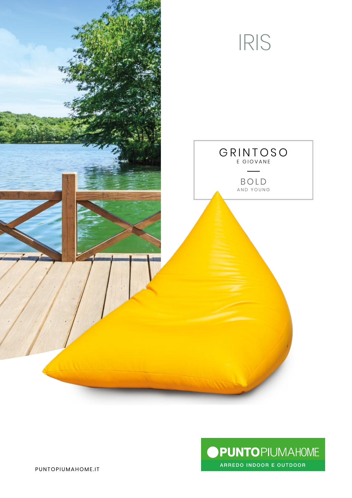



PUNTOPIUMAHOME.IT